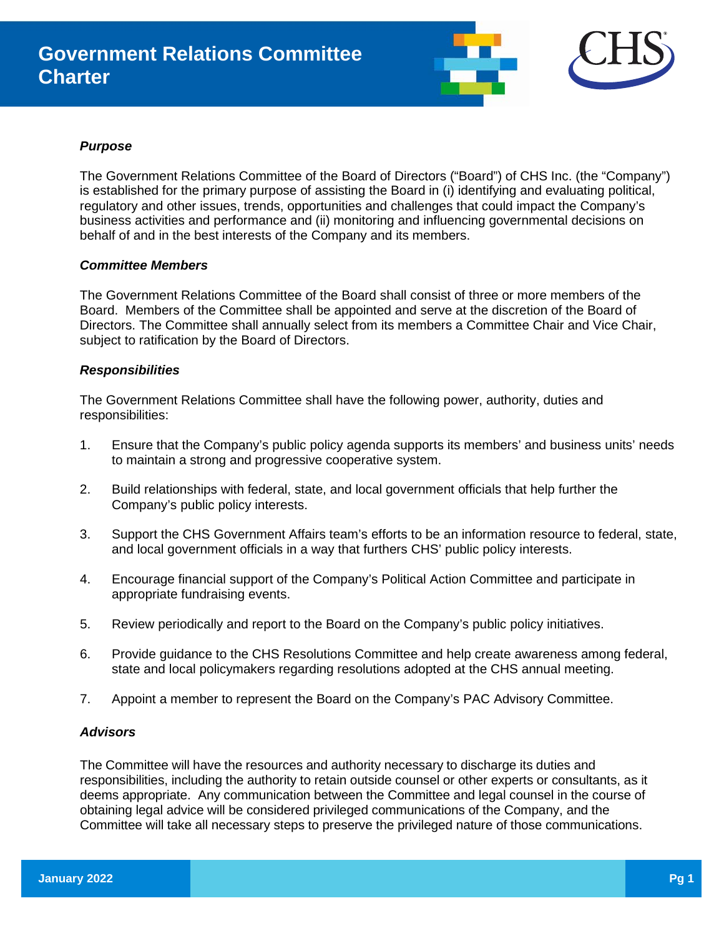

## *Purpose*

The Government Relations Committee of the Board of Directors ("Board") of CHS Inc. (the "Company") is established for the primary purpose of assisting the Board in (i) identifying and evaluating political, regulatory and other issues, trends, opportunities and challenges that could impact the Company's business activities and performance and (ii) monitoring and influencing governmental decisions on behalf of and in the best interests of the Company and its members.

## *Committee Members*

The Government Relations Committee of the Board shall consist of three or more members of the Board. Members of the Committee shall be appointed and serve at the discretion of the Board of Directors. The Committee shall annually select from its members a Committee Chair and Vice Chair, subject to ratification by the Board of Directors.

# *Responsibilities*

The Government Relations Committee shall have the following power, authority, duties and responsibilities:

- 1. Ensure that the Company's public policy agenda supports its members' and business units' needs to maintain a strong and progressive cooperative system.
- 2. Build relationships with federal, state, and local government officials that help further the Company's public policy interests.
- 3. Support the CHS Government Affairs team's efforts to be an information resource to federal, state, and local government officials in a way that furthers CHS' public policy interests.
- 4. Encourage financial support of the Company's Political Action Committee and participate in appropriate fundraising events.
- 5. Review periodically and report to the Board on the Company's public policy initiatives.
- 6. Provide guidance to the CHS Resolutions Committee and help create awareness among federal, state and local policymakers regarding resolutions adopted at the CHS annual meeting.
- 7. Appoint a member to represent the Board on the Company's PAC Advisory Committee.

# *Advisors*

The Committee will have the resources and authority necessary to discharge its duties and responsibilities, including the authority to retain outside counsel or other experts or consultants, as it deems appropriate. Any communication between the Committee and legal counsel in the course of obtaining legal advice will be considered privileged communications of the Company, and the Committee will take all necessary steps to preserve the privileged nature of those communications.